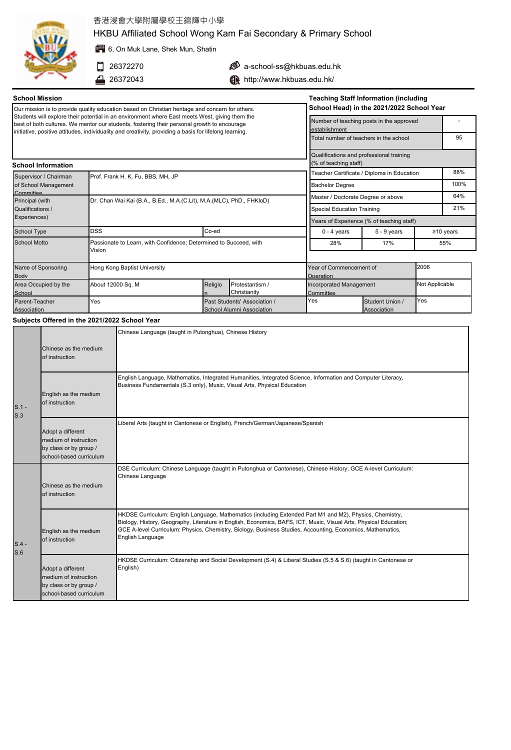

English as the medium of instruction

S.1 - S.3

# 香港浸會大學附屬學校王錦輝中小學

HKBU Affiliated School Wong Kam Fai Secondary & Primary School

**第6**, On Muk Lane, Shek Mun, Shatin

- $26372270$
- 4 26372043

 $\bullet$  a-school-ss@hkbuas.edu.hk

**http://www.hkbuas.edu.hk/** 

| <b>School Mission</b>                                                                                                                                                                                                                                                                                   |                   |                                                                      |                                                           |                                                                                                                 |                                                               |                                       | <b>Teaching Staff Information (including</b> |                 |     |
|---------------------------------------------------------------------------------------------------------------------------------------------------------------------------------------------------------------------------------------------------------------------------------------------------------|-------------------|----------------------------------------------------------------------|-----------------------------------------------------------|-----------------------------------------------------------------------------------------------------------------|---------------------------------------------------------------|---------------------------------------|----------------------------------------------|-----------------|-----|
| Our mission is to provide quality education based on Christian heritage and concern for others.                                                                                                                                                                                                         |                   |                                                                      |                                                           |                                                                                                                 |                                                               |                                       | School Head) in the 2021/2022 School Year    |                 |     |
| Students will explore their potential in an environment where East meets West, giving them the<br>best of both cultures. We mentor our students, fostering their personal growth to encourage<br>initiative, positive attitudes, individuality and creativity, providing a basis for lifelong learning. |                   |                                                                      | Number of teaching posts in the approved<br>establishment |                                                                                                                 |                                                               |                                       |                                              |                 |     |
|                                                                                                                                                                                                                                                                                                         |                   |                                                                      |                                                           | Total number of teachers in the school                                                                          |                                                               |                                       |                                              | 95              |     |
| <b>School Information</b>                                                                                                                                                                                                                                                                               |                   |                                                                      |                                                           |                                                                                                                 | (% of teaching staff)                                         |                                       | Qualifications and professional training     |                 |     |
| Prof. Frank H. K. Fu, BBS, MH, JP<br>Supervisor / Chairman                                                                                                                                                                                                                                              |                   |                                                                      |                                                           | Teacher Certificate / Diploma in Education                                                                      |                                                               |                                       |                                              | 88%             |     |
| of School Management                                                                                                                                                                                                                                                                                    |                   |                                                                      |                                                           | <b>Bachelor Degree</b>                                                                                          |                                                               |                                       |                                              | 100%            |     |
| Committee<br>Principal (with                                                                                                                                                                                                                                                                            |                   | Dr. Chan Wai Kai (B.A., B.Ed., M.A.(C.Lit), M.A.(MLC), PhD., FHKIoD) |                                                           |                                                                                                                 | Master / Doctorate Degree or above                            |                                       |                                              |                 | 64% |
| Qualifications /                                                                                                                                                                                                                                                                                        |                   |                                                                      |                                                           | <b>Special Education Training</b>                                                                               |                                                               |                                       | 21%                                          |                 |     |
| Experiences)                                                                                                                                                                                                                                                                                            |                   |                                                                      |                                                           | Years of Experience (% of teaching staff)                                                                       |                                                               |                                       |                                              |                 |     |
| School Type                                                                                                                                                                                                                                                                                             | <b>DSS</b>        |                                                                      | Co-ed                                                     |                                                                                                                 | $0 - 4$ years                                                 |                                       | $5 - 9$ years                                | $\geq$ 10 years |     |
| <b>School Motto</b>                                                                                                                                                                                                                                                                                     | Vision            | Passionate to Learn, with Confidence; Determined to Succeed, with    |                                                           |                                                                                                                 | 28%                                                           |                                       | 17%                                          | 55%             |     |
| Name of Sponsoring<br>Body                                                                                                                                                                                                                                                                              |                   | Hong Kong Baptist University                                         |                                                           |                                                                                                                 | 2006<br>Year of Commencement of<br>Operation                  |                                       |                                              |                 |     |
| Area Occupied by the<br>School                                                                                                                                                                                                                                                                          | About 12000 Sq. M |                                                                      | Religio                                                   | Protestantism /<br>Christianity                                                                                 | Not Applicable<br><b>Incorporated Management</b><br>Committee |                                       |                                              |                 |     |
| Parent-Teacher<br>Association                                                                                                                                                                                                                                                                           | Yes               |                                                                      |                                                           | Past Students' Association /<br>School Alumni Association                                                       | Yes                                                           | Yes<br>Student Union /<br>Association |                                              |                 |     |
| Subjects Offered in the 2021/2022 School Year                                                                                                                                                                                                                                                           |                   |                                                                      |                                                           |                                                                                                                 |                                                               |                                       |                                              |                 |     |
| Chinese as the medium<br>of instruction                                                                                                                                                                                                                                                                 |                   | Chinese Language (taught in Putonghua), Chinese History              |                                                           |                                                                                                                 |                                                               |                                       |                                              |                 |     |
|                                                                                                                                                                                                                                                                                                         |                   |                                                                      |                                                           | Capitale Laugueaux, Mathematics, Internated Universities, Internated Osianas, Information and Osmouther Hispani |                                                               |                                       |                                              |                 |     |

English Language, Mathematics, Integrated Humanities, Integrated Science, Information and Computer Literacy, Business Fundamentals (S.3 only), Music, Visual Arts, Physical Education

|                | Adopt a different<br>medium of instruction<br>by class or by group /<br>school-based curriculum | Liberal Arts (taught in Cantonese or English), French/German/Japanese/Spanish                                                                                                                                                                                                                                                                                   |
|----------------|-------------------------------------------------------------------------------------------------|-----------------------------------------------------------------------------------------------------------------------------------------------------------------------------------------------------------------------------------------------------------------------------------------------------------------------------------------------------------------|
|                | Chinese as the medium<br>of instruction                                                         | DSE Curriculum: Chinese Language (taught in Putonghua or Cantonese), Chinese History; GCE A-level Curriculum:<br>Chinese Language                                                                                                                                                                                                                               |
| $S.4 -$<br>S.6 | English as the medium<br>of instruction                                                         | HKDSE Curriculum: English Language, Mathematics (including Extended Part M1 and M2), Physics, Chemistry,<br>Biology, History, Geography, Literature in English, Economics, BAFS, ICT, Music, Visual Arts, Physical Education;<br>GCE A-level Curriculum: Physics, Chemistry, Biology, Business Studies, Accounting, Economics, Mathematics,<br>English Language |
|                | Adopt a different<br>medium of instruction<br>by class or by group /<br>school-based curriculum | HKDSE Curriculum: Citizenship and Social Development (S.4) & Liberal Studies (S.5 & S.6) (taught in Cantonese or<br>English)                                                                                                                                                                                                                                    |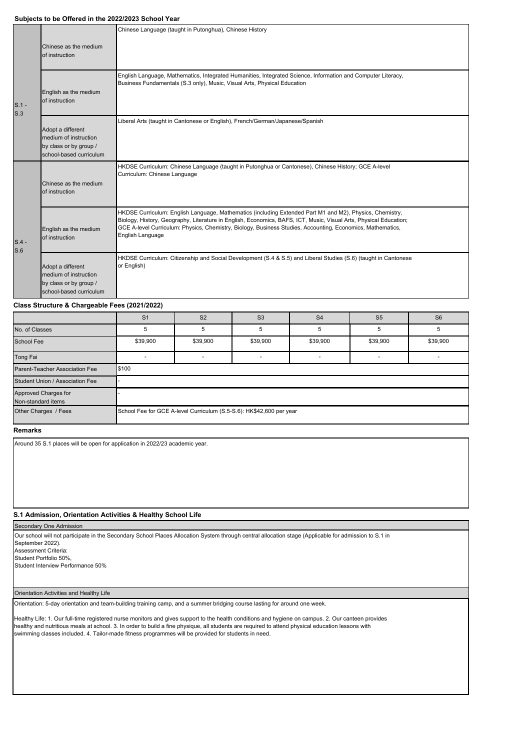### **Subjects to be Offered in the 2022/2023 School Year**

|                |                                                                                                 | Chinese Language (taught in Putonghua), Chinese History                                                                                                                                                                                                                                                                                                         |  |  |  |  |  |
|----------------|-------------------------------------------------------------------------------------------------|-----------------------------------------------------------------------------------------------------------------------------------------------------------------------------------------------------------------------------------------------------------------------------------------------------------------------------------------------------------------|--|--|--|--|--|
|                | Chinese as the medium<br>of instruction                                                         |                                                                                                                                                                                                                                                                                                                                                                 |  |  |  |  |  |
| $S.1 -$<br>S.3 | English as the medium<br>of instruction                                                         | English Language, Mathematics, Integrated Humanities, Integrated Science, Information and Computer Literacy,<br>Business Fundamentals (S.3 only), Music, Visual Arts, Physical Education                                                                                                                                                                        |  |  |  |  |  |
|                | Adopt a different<br>medium of instruction<br>by class or by group /<br>school-based curriculum | Liberal Arts (taught in Cantonese or English), French/German/Japanese/Spanish                                                                                                                                                                                                                                                                                   |  |  |  |  |  |
| $S.4 -$<br>S.6 | Chinese as the medium<br>of instruction                                                         | HKDSE Curriculum: Chinese Language (taught in Putonghua or Cantonese), Chinese History; GCE A-level<br>Curriculum: Chinese Language                                                                                                                                                                                                                             |  |  |  |  |  |
|                | English as the medium<br>of instruction                                                         | HKDSE Curriculum: English Language, Mathematics (including Extended Part M1 and M2), Physics, Chemistry,<br>Biology, History, Geography, Literature in English, Economics, BAFS, ICT, Music, Visual Arts, Physical Education;<br>GCE A-level Curriculum: Physics, Chemistry, Biology, Business Studies, Accounting, Economics, Mathematics,<br>English Language |  |  |  |  |  |
|                | Adopt a different<br>medium of instruction<br>by class or by group /<br>school-based curriculum | HKDSE Curriculum: Citizenship and Social Development (S.4 & S.5) and Liberal Studies (S.6) (taught in Cantonese<br>or English)                                                                                                                                                                                                                                  |  |  |  |  |  |

## **Class Structure & Chargeable Fees (2021/2022)**

|                                            | S <sub>1</sub>                                                       | S <sub>2</sub> | S <sub>3</sub> | S <sub>4</sub> | S <sub>5</sub> | S <sub>6</sub> |  |
|--------------------------------------------|----------------------------------------------------------------------|----------------|----------------|----------------|----------------|----------------|--|
| No. of Classes                             | 5                                                                    |                | 5              |                |                |                |  |
| <b>School Fee</b>                          | \$39,900                                                             | \$39,900       | \$39,900       | \$39,900       | \$39,900       | \$39,900       |  |
| Tong Fai                                   |                                                                      |                |                |                |                |                |  |
| Parent-Teacher Association Fee             | \$100                                                                |                |                |                |                |                |  |
| Student Union / Association Fee            |                                                                      |                |                |                |                |                |  |
| Approved Charges for<br>Non-standard items |                                                                      |                |                |                |                |                |  |
| Other Charges / Fees                       | School Fee for GCE A-level Curriculum (S.5-S.6): HK\$42,600 per year |                |                |                |                |                |  |

# **Remarks**

Around 35 S.1 places will be open for application in 2022/23 academic year.

### **S.1 Admission, Orientation Activities & Healthy School Life**

#### Secondary One Admission

Our school will not participate in the Secondary School Places Allocation System through central allocation stage (Applicable for admission to S.1 in September 2022). Assessment Criteria:

Student Portfolio 50%,

Student Interview Performance 50%

### Orientation Activities and Healthy Life

Orientation: 5-day orientation and team-building training camp, and a summer bridging course lasting for around one week.

Healthy Life: 1. Our full-time registered nurse monitors and gives support to the health conditions and hygiene on campus. 2. Our canteen provides healthy and nutritious meals at school. 3. In order to build a fine physique, all students are required to attend physical education lessons with swimming classes included. 4. Tailor-made fitness programmes will be provided for students in need.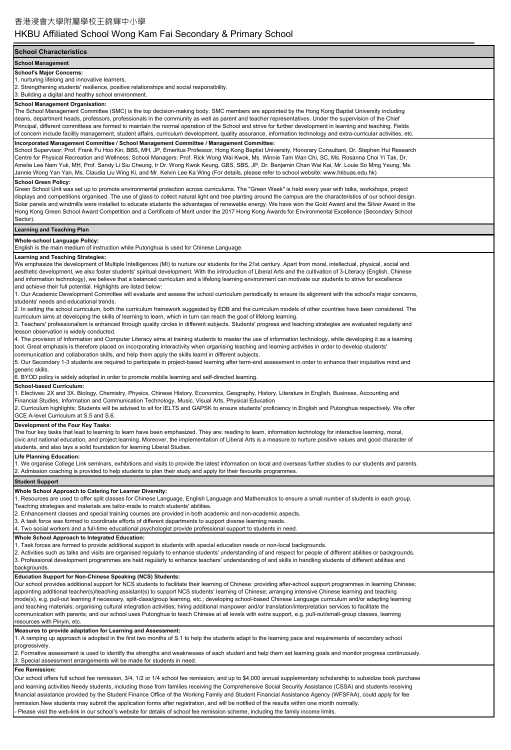# HKBU Affiliated School Wong Kam Fai Secondary & Primary School

### **School Characteristics**

**School Management**

### **School's Major Concerns:**

1. nurturing lifelong and innovative learners.

2. Strengthening students' resilience, positive relationships and social responsibility.

3. Building a digital and healthy school environment.

#### **School Management Organisation:**

The School Management Committee (SMC) is the top decision-making body. SMC members are appointed by the Hong Kong Baptist University including deans, department heads, professors, professionals in the community as well as parent and teacher representatives. Under the supervision of the Chief Principal, different committees are formed to maintain the normal operation of the School and strive for further development in learning and teaching. Fields of concern include facility management, student affairs, curriculum development, quality assurance, information technology and extra-curricular activities, etc.

### **Incorporated Management Committee / School Management Committee / Management Committee:**

School Supervisor: Prof. Frank Fu Hoo Kin, BBS, MH, JP, Emeritus Professor, Hong Kong Baptist University, Honorary Consultant, Dr. Stephen Hui Research Centre for Physical Recreation and Wellness; School Managers: Prof. Rick Wong Wai Kwok, Ms. Winnie Tam Wan Chi, SC, Ms. Rosanna Choi Yi Tak, Dr. Amelia Lee Nam Yuk, MH, Prof. Sandy Li Siu Cheung, Ir Dr. Wong Kwok Keung, GBS, SBS, JP, Dr. Benjamin Chan Wai Kai, Mr. Louie So Ming Yeung, Ms. Jannie Wong Yan Yan, Ms. Claudia Liu Wing Ki, and Mr. Kelvin Lee Ka Wing (For details, please refer to school website: www.hkbuas.edu.hk)

## **School Green Policy:**

Green School Unit was set up to promote environmental protection across curriculums. The "Green Week" is held every year with talks, workshops, project displays and competitions organised. The use of glass to collect natural light and tree planting around the campus are the characteristics of our school design. Solar panels and windmills were installed to educate students the advantages of renewable energy. We have won the Gold Award and the Silver Award in the Hong Kong Green School Award Competition and a Certificate of Merit under the 2017 Hong Kong Awards for Environmental Excellence (Secondary School Sector)

### **Learning and Teaching Plan**

#### **Whole-school Language Policy:**

English is the main medium of instruction while Putonghua is used for Chinese Language.

#### **Learning and Teaching Strategies:**

We emphasize the development of Multiple Intelligences (MI) to nurture our students for the 21st century. Apart from moral, intellectual, physical, social and aesthetic development, we also foster students' spiritual development. With the introduction of Liberal Arts and the cultivation of 3-Literacy (English, Chinese and information technology), we believe that a balanced curriculum and a lifelong learning environment can motivate our students to strive for excellence and achieve their full potential. Highlights are listed below:

1. Our Academic Development Committee will evaluate and assess the school curriculum periodically to ensure its alignment with the school's major concerns, students' needs and educational trends.

2. In setting the school curriculum, both the curriculum framework suggested by EDB and the curriculum models of other countries have been considered. The curriculum aims at developing the skills of learning to learn, which in turn can reach the goal of lifelong learning.

3. Teachers' professionalism is enhanced through quality circles in different subjects. Students' progress and teaching strategies are evaluated regularly and lesson observation is widely conducted.

4. The provision of Information and Computer Literacy aims at training students to master the use of information technology, while developing it as a learning tool. Great emphasis is therefore placed on incorporating interactivity when organising teaching and learning activities in order to develop students' communication and collaboration skills, and help them apply the skills learnt in different subjects.

5. Our Secondary 1-3 students are required to participate in project-based learning after term-end assessment in order to enhance their inquisitive mind and generic skills.

6. BYOD policy is widely adopted in order to promote mobile learning and self-directed learning.

#### **School-based Curriculum:**

1. Electives: 2X and 3X. Biology, Chemistry, Physics, Chinese History, Economics, Geography, History, Literature in English, Business, Accounting and Financial Studies, Information and Communication Technology, Music, Visual Arts, Physical Education

2. Curriculum highlights: Students will be advised to sit for IELTS and GAPSK to ensure students' proficiency in English and Putonghua respectively. We offer GCE A-level Curriculum at S.5 and S.6.

#### **Development of the Four Key Tasks:**

The four key tasks that lead to learning to learn have been emphasized. They are: reading to learn, information technology for interactive learning, moral, civic and national education, and project learning. Moreover, the implementation of Liberal Arts is a measure to nurture positive values and good character of students, and also lays a solid foundation for learning Liberal Studies.

#### **Life Planning Education:**

1. We organise College Link seminars, exhibitions and visits to provide the latest information on local and overseas further studies to our students and parents.

2. Admission coaching is provided to help students to plan their study and apply for their favourite programmes.

#### **Student Support**

**Whole School Approach to Catering for Learner Diversity:**

1. Resources are used to offer split classes for Chinese Language, English Language and Mathematics to ensure a small number of students in each group.

Teaching strategies and materials are tailor-made to match students' abilities.

- 2. Enhancement classes and special training courses are provided in both academic and non-academic aspects.
- 3. A task force was formed to coordinate efforts of different departments to support diverse learning needs.
- 4. Two social workers and a full-time educational psychologist provide professional support to students in need.

**Whole School Approach to Integrated Education:**

1. Task forces are formed to provide additional support to students with special education needs or non-local backgrounds.

- 2. Activities such as talks and visits are organised regularly to enhance students' understanding of and respect for people of different abilities or backgrounds.
- 3. Professional development programmes are held regularly to enhance teachers' understanding of and skills in handling students of different abilities and

### backgrounds.

**Education Support for Non-Chinese Speaking (NCS) Students:**

Our school provides additional support for NCS students to facilitate their learning of Chinese: providing after-school support programmes in learning Chinese; appointing additional teacher(s)/teaching assistant(s) to support NCS students' learning of Chinese; arranging intensive Chinese learning and teaching mode(s), e.g. pull-out learning if necessary, split-class/group learning, etc.; developing school-based Chinese Language curriculum and/or adapting learning and teaching materials; organising cultural integration activities; hiring additional manpower and/or translation/interpretation services to facilitate the communication with parents; and our school uses Putonghua to teach Chinese at all levels with extra support, e.g. pull-out/small-group classes, learning resources with Pinyin, etc.

#### **Measures to provide adaptation for Learning and Assessment:**

1. A ramping up approach is adopted in the first two months of S.1 to help the students adapt to the learning pace and requirements of secondary school progressively.

2. Formative assessment is used to identify the strengths and weaknesses of each student and help them set learning goals and monitor progress continuously. 3. Special assessment arrangements will be made for students in need.

#### **Fee Remission:**

Our school offers full school fee remission, 3/4, 1/2 or 1/4 school fee remission, and up to \$4,000 annual supplementary scholarship to subsidize book purchase and learning activities Needy students, including those from families receiving the Comprehensive Social Security Assistance (CSSA) and students receiving financial assistance provided by the Student Finance Office of the Working Family and Student Financial Assistance Agency (WFSFAA), could apply for fee remission.New students may submit the application forms after registration, and will be notified of the results within one month normally. - Please visit the web-link in our school's website for details of school fee remission scheme, including the family income limits.